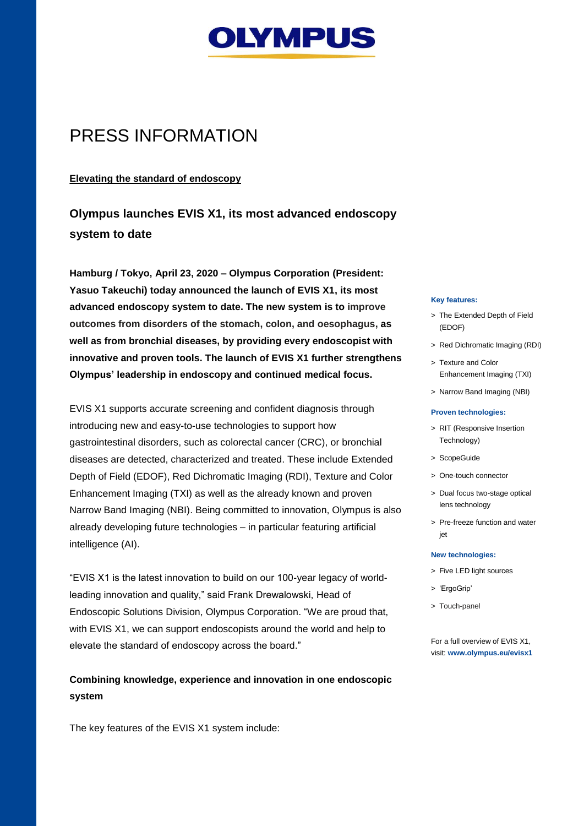

# PRESS INFORMATION

## **Elevating the standard of endoscopy**

**Olympus launches EVIS X1, its most advanced endoscopy system to date**

**Hamburg / Tokyo, April 23, 2020 – Olympus Corporation (President: Yasuo Takeuchi) today announced the launch of EVIS X1, its most advanced endoscopy system to date. The new system is to improve outcomes from disorders of the stomach, colon, and oesophagus, as well as from bronchial diseases, by providing every endoscopist with innovative and proven tools. The launch of EVIS X1 further strengthens Olympus' leadership in endoscopy and continued medical focus.**

EVIS X1 supports accurate screening and confident diagnosis through introducing new and easy-to-use technologies to support how gastrointestinal disorders, such as colorectal cancer (CRC), or bronchial diseases are detected, characterized and treated. These include Extended Depth of Field (EDOF), Red Dichromatic Imaging (RDI), Texture and Color Enhancement Imaging (TXI) as well as the already known and proven Narrow Band Imaging (NBI). Being committed to innovation, Olympus is also already developing future technologies – in particular featuring artificial intelligence (AI).

"EVIS X1 is the latest innovation to build on our 100-year legacy of worldleading innovation and quality," said Frank Drewalowski, Head of Endoscopic Solutions Division, Olympus Corporation. "We are proud that, with EVIS X1, we can support endoscopists around the world and help to elevate the standard of endoscopy across the board."

## **Combining knowledge, experience and innovation in one endoscopic system**

The key features of the EVIS X1 system include:

#### **Key features:**

- > The Extended Depth of Field (EDOF)
- > Red Dichromatic Imaging (RDI)
- > Texture and Color Enhancement Imaging (TXI)
- > Narrow Band Imaging (NBI)

#### **Proven technologies:**

- > RIT (Responsive Insertion Technology)
- > ScopeGuide
- > One-touch connector
- > Dual focus two-stage optical lens technology
- > Pre-freeze function and water jet

#### **New technologies:**

- > Five LED light sources
- > 'ErgoGrip'
- > Touch-panel

For a full overview of EVIS X1, visit: **[www.olympus.eu/evisx1](http://www.olympus.eu/evisx1)**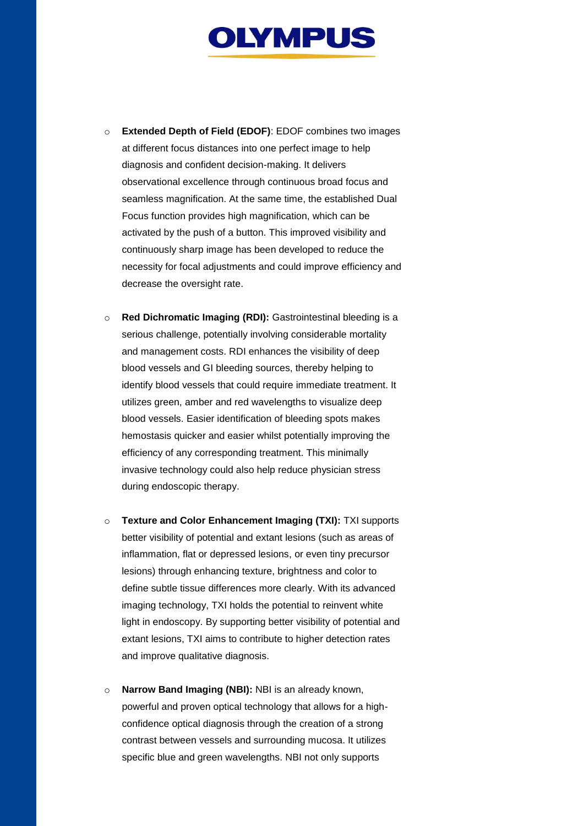

- o **Extended Depth of Field (EDOF)**: EDOF combines two images at different focus distances into one perfect image to help diagnosis and confident decision-making. It delivers observational excellence through continuous broad focus and seamless magnification. At the same time, the established Dual Focus function provides high magnification, which can be activated by the push of a button. This improved visibility and continuously sharp image has been developed to reduce the necessity for focal adjustments and could improve efficiency and decrease the oversight rate.
- o **Red Dichromatic Imaging (RDI):** Gastrointestinal bleeding is a serious challenge, potentially involving considerable mortality and management costs. RDI enhances the visibility of deep blood vessels and GI bleeding sources, thereby helping to identify blood vessels that could require immediate treatment. It utilizes green, amber and red wavelengths to visualize deep blood vessels. Easier identification of bleeding spots makes hemostasis quicker and easier whilst potentially improving the efficiency of any corresponding treatment. This minimally invasive technology could also help reduce physician stress during endoscopic therapy.
- o **Texture and Color Enhancement Imaging (TXI):** TXI supports better visibility of potential and extant lesions (such as areas of inflammation, flat or depressed lesions, or even tiny precursor lesions) through enhancing texture, brightness and color to define subtle tissue differences more clearly. With its advanced imaging technology, TXI holds the potential to reinvent white light in endoscopy. By supporting better visibility of potential and extant lesions, TXI aims to contribute to higher detection rates and improve qualitative diagnosis.
- o **Narrow Band Imaging (NBI):** NBI is an already known, powerful and proven optical technology that allows for a highconfidence optical diagnosis through the creation of a strong contrast between vessels and surrounding mucosa. It utilizes specific blue and green wavelengths. NBI not only supports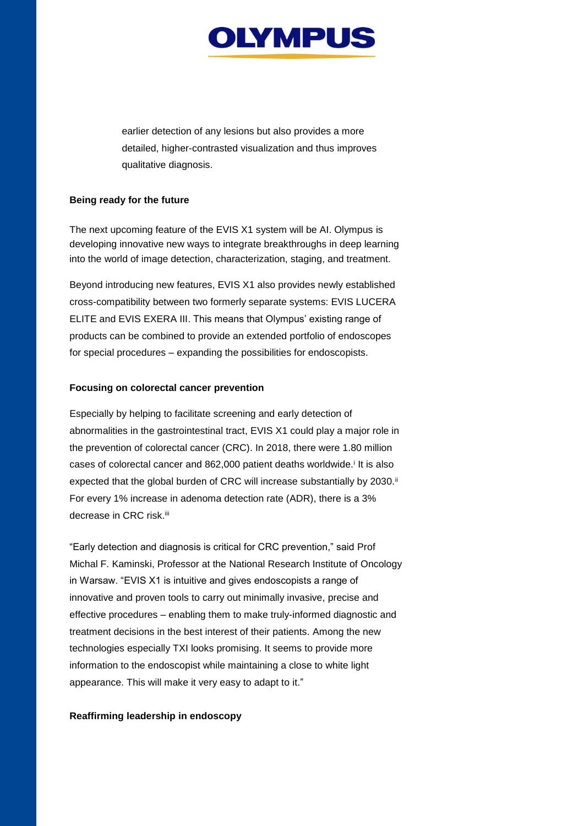

earlier detection of any lesions but also provides a more detailed, higher-contrasted visualization and thus improves qualitative diagnosis.

### **Being ready for the future**

The next upcoming feature of the EVIS X1 system will be AI. Olympus is developing innovative new ways to integrate breakthroughs in deep learning into the world of image detection, characterization, staging, and treatment.

Beyond introducing new features, EVIS X1 also provides newly established cross-compatibility between two formerly separate systems: EVIS LUCERA ELITE and EVIS EXERA III. This means that Olympus' existing range of products can be combined to provide an extended portfolio of endoscopes for special procedures – expanding the possibilities for endoscopists.

#### **Focusing on colorectal cancer prevention**

Especially by helping to facilitate screening and early detection of abnormalities in the gastrointestinal tract, EVIS X1 could play a major role in the prevention of colorectal cancer (CRC). In 2018, there were 1.80 million cases of colorectal cancer and 862,000 patient deaths worldwide.<sup>i</sup> It is also expected that the global burden of CRC will increase substantially by 2030.<sup>ii</sup> For every 1% increase in adenoma detection rate (ADR), there is a 3% decrease in CRC risk.<sup>iii</sup>

"Early detection and diagnosis is critical for CRC prevention," said Prof Michal F. Kaminski, Professor at the National Research Institute of Oncology in Warsaw. "EVIS X1 is intuitive and gives endoscopists a range of innovative and proven tools to carry out minimally invasive, precise and effective procedures – enabling them to make truly-informed diagnostic and treatment decisions in the best interest of their patients. Among the new technologies especially TXI looks promising. It seems to provide more information to the endoscopist while maintaining a close to white light appearance. This will make it very easy to adapt to it."

#### **Reaffirming leadership in endoscopy**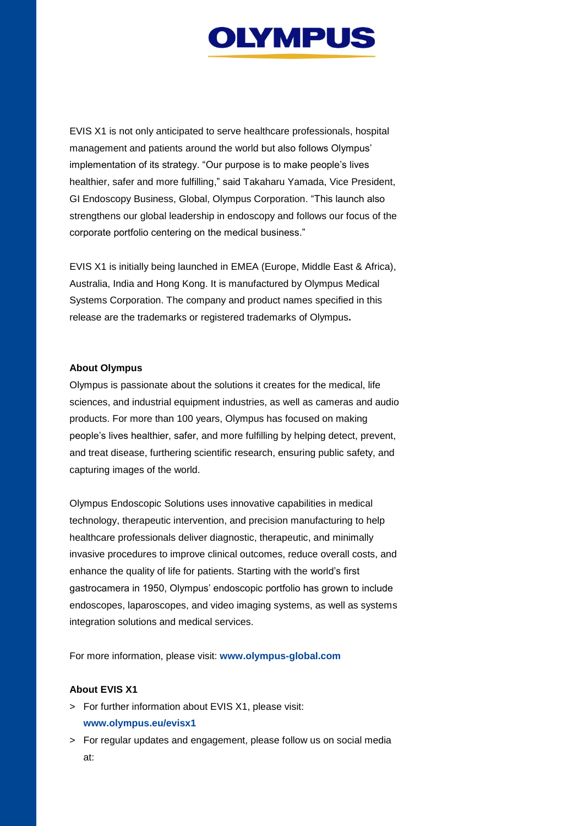

EVIS X1 is not only anticipated to serve healthcare professionals, hospital management and patients around the world but also follows Olympus' implementation of its strategy. "Our purpose is to make people's lives healthier, safer and more fulfilling," said Takaharu Yamada, Vice President, GI Endoscopy Business, Global, Olympus Corporation. "This launch also strengthens our global leadership in endoscopy and follows our focus of the corporate portfolio centering on the medical business."

EVIS X1 is initially being launched in EMEA (Europe, Middle East & Africa), Australia, India and Hong Kong. It is manufactured by Olympus Medical Systems Corporation. The company and product names specified in this release are the trademarks or registered trademarks of Olympus**.**

#### **About Olympus**

Olympus is passionate about the solutions it creates for the medical, life sciences, and industrial equipment industries, as well as cameras and audio products. For more than 100 years, Olympus has focused on making people's lives healthier, safer, and more fulfilling by helping detect, prevent, and treat disease, furthering scientific research, ensuring public safety, and capturing images of the world.

Olympus Endoscopic Solutions uses innovative capabilities in medical technology, therapeutic intervention, and precision manufacturing to help healthcare professionals deliver diagnostic, therapeutic, and minimally invasive procedures to improve clinical outcomes, reduce overall costs, and enhance the quality of life for patients. Starting with the world's first gastrocamera in 1950, Olympus' endoscopic portfolio has grown to include endoscopes, laparoscopes, and video imaging systems, as well as systems integration solutions and medical services.

For more information, please visit: **[www.olympus-global.com](http://www.olympus-global.com/)**

#### **About EVIS X1**

- > For further information about EVIS X1, please visit: **[www.olympus.eu/evisx1](http://www.olympus.eu/evisx1)**
- > For regular updates and engagement, please follow us on social media at: